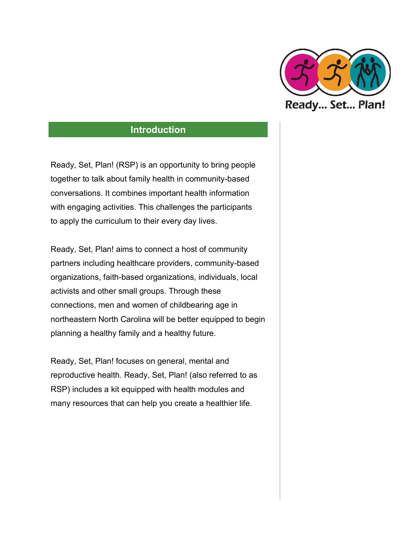

Ready, Set, Plan! (RSP) is an opportunity to bring people together to talk about family health in community-based conversations. It combines important health information with engaging activities. This challenges the participants to apply the curriculum to their every day lives.

Ready, Set, Plan! aims to connect a host of community partners including healthcare providers, community-based organizations, faith-based organizations, individuals, local activists and other small groups. Through these connections, men and women of childbearing age in northeastern North Carolina will be better equipped to begin planning a healthy family and a healthy future.

Ready, Set, Plan! focuses on general, mental and reproductive health. Ready, Set, Plan! (also referred to as RSP) includes a kit equipped with health modules and many resources that can help you create a healthier life.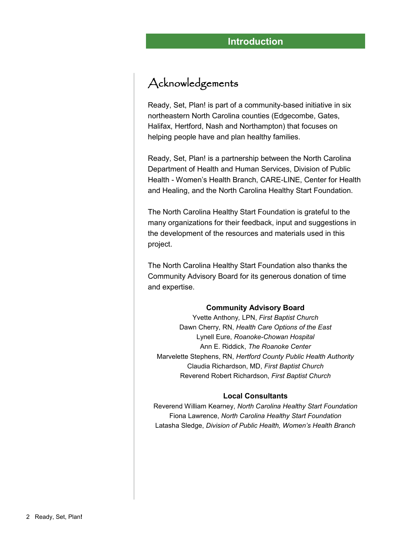### Acknowledgements

Ready, Set, Plan! is part of a community-based initiative in six northeastern North Carolina counties (Edgecombe, Gates, Halifax, Hertford, Nash and Northampton) that focuses on helping people have and plan healthy families.

Ready, Set, Plan! is a partnership between the North Carolina Department of Health and Human Services, Division of Public Health - Women's Health Branch, CARE-LINE, Center for Health and Healing, and the North Carolina Healthy Start Foundation.

The North Carolina Healthy Start Foundation is grateful to the many organizations for their feedback, input and suggestions in the development of the resources and materials used in this project.

The North Carolina Healthy Start Foundation also thanks the Community Advisory Board for its generous donation of time and expertise.

#### **Community Advisory Board**

Yvette Anthony*,* LPN, *First Baptist Church* Dawn Cherry, RN, *Health Care Options of the East* Lynell Eure, *Roanoke-Chowan Hospital* Ann E. Riddick, *The Roanoke Center* Marvelette Stephens, RN, *Hertford County Public Health Authority* Claudia Richardson, MD, *First Baptist Church* Reverend Robert Richardson, *First Baptist Church*

#### **Local Consultants**

Reverend William Kearney, *North Carolina Healthy Start Foundation*  Fiona Lawrence, *North Carolina Healthy Start Foundation*  Latasha Sledge, *Division of Public Health, Women's Health Branch*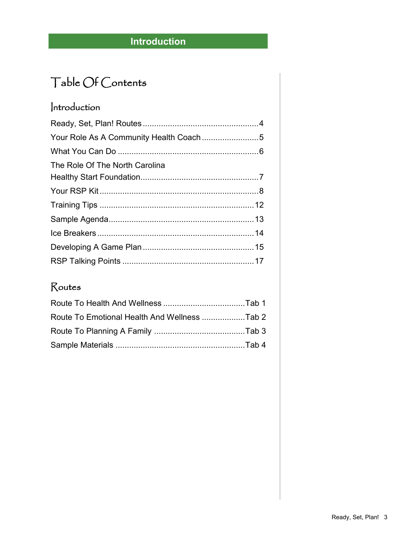# Table Of Contents

## Introduction

| The Role Of The North Carolina |  |
|--------------------------------|--|
|                                |  |
|                                |  |
|                                |  |
|                                |  |
|                                |  |
|                                |  |
|                                |  |

## Routes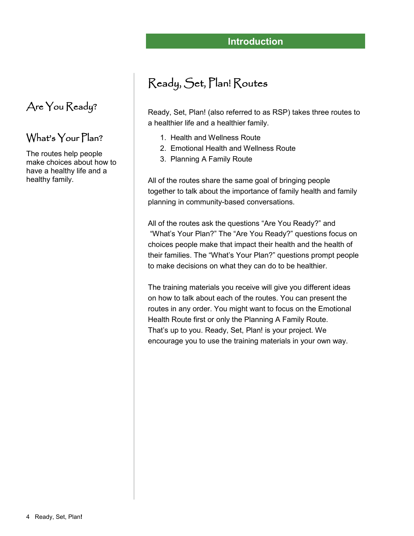# Ready, Set, Plan! Routes

Ready, Set, Plan! (also referred to as RSP) takes three routes to a healthier life and a healthier family.

- 1. Health and Wellness Route
- 2. Emotional Health and Wellness Route
- 3. Planning A Family Route

All of the routes share the same goal of bringing people together to talk about the importance of family health and family planning in community-based conversations.

All of the routes ask the questions "Are You Ready?" and "What's Your Plan?" The "Are You Ready?" questions focus on choices people make that impact their health and the health of their families. The "What's Your Plan?" questions prompt people to make decisions on what they can do to be healthier.

The training materials you receive will give you different ideas on how to talk about each of the routes. You can present the routes in any order. You might want to focus on the Emotional Health Route first or only the Planning A Family Route. That's up to you. Ready, Set, Plan! is your project. We encourage you to use the training materials in your own way.

## Are You Ready?

### What's Your Plan?

The routes help people make choices about how to have a healthy life and a healthy family.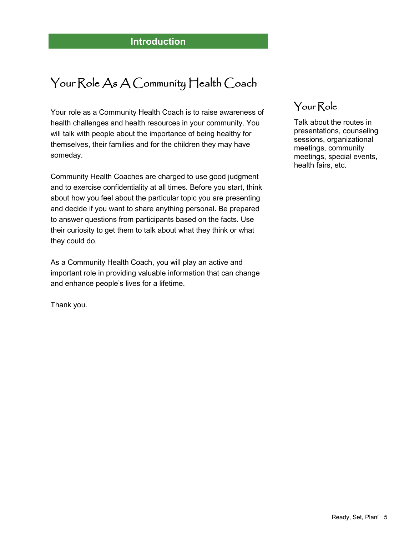# Your Role As A Community Health Coach

Your role as a Community Health Coach is to raise awareness of health challenges and health resources in your community. You will talk with people about the importance of being healthy for themselves, their families and for the children they may have someday.

Community Health Coaches are charged to use good judgment and to exercise confidentiality at all times. Before you start, think about how you feel about the particular topic you are presenting and decide if you want to share anything personal**.** Be prepared to answer questions from participants based on the facts. Use their curiosity to get them to talk about what they think or what they could do.

As a Community Health Coach, you will play an active and important role in providing valuable information that can change and enhance people's lives for a lifetime.

Thank you.

## Your Role

Talk about the routes in presentations, counseling sessions, organizational meetings, community meetings, special events, health fairs, etc.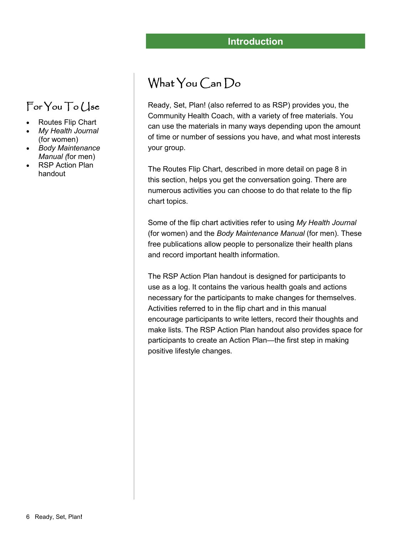# What You Can Do

Ready, Set, Plan! (also referred to as RSP) provides you, the Community Health Coach, with a variety of free materials. You can use the materials in many ways depending upon the amount of time or number of sessions you have, and what most interests your group.

The Routes Flip Chart, described in more detail on page 8 in this section, helps you get the conversation going. There are numerous activities you can choose to do that relate to the flip chart topics.

Some of the flip chart activities refer to using *My Health Journal*  (for women) and the *Body Maintenance Manual* (for men). These free publications allow people to personalize their health plans and record important health information.

The RSP Action Plan handout is designed for participants to use as a log. It contains the various health goals and actions necessary for the participants to make changes for themselves. Activities referred to in the flip chart and in this manual encourage participants to write letters, record their thoughts and make lists. The RSP Action Plan handout also provides space for participants to create an Action Plan—the first step in making positive lifestyle changes.

# For You To Use

- Routes Flip Chart
- *My Health Journal*  (for women)
- *Body Maintenance Manual (*for men)
- RSP Action Plan handout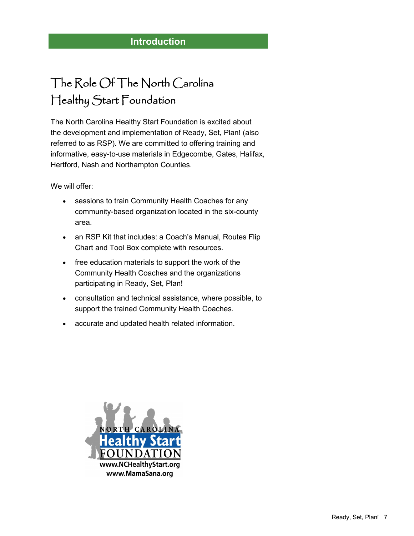# The Role Of The North Carolina Healthy Start Foundation

The North Carolina Healthy Start Foundation is excited about the development and implementation of Ready, Set, Plan! (also referred to as RSP). We are committed to offering training and informative, easy-to-use materials in Edgecombe, Gates, Halifax, Hertford, Nash and Northampton Counties.

We will offer:

- sessions to train Community Health Coaches for any community-based organization located in the six-county area.
- an RSP Kit that includes: a Coach's Manual, Routes Flip Chart and Tool Box complete with resources.
- free education materials to support the work of the Community Health Coaches and the organizations participating in Ready, Set, Plan!
- consultation and technical assistance, where possible, to support the trained Community Health Coaches.
- accurate and updated health related information.

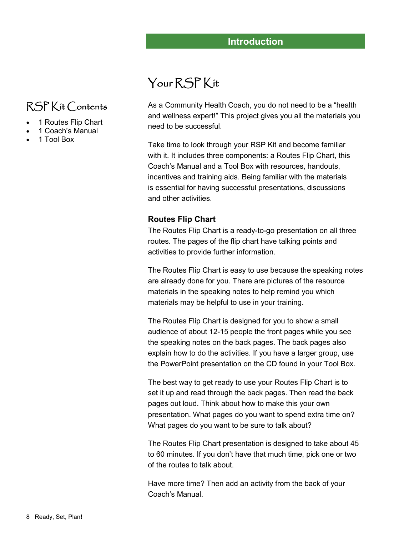# RSP Kit Contents

- 1 Routes Flip Chart
- 1 Coach's Manual
- 1 Tool Box

# Your RSP Kit

As a Community Health Coach, you do not need to be a "health and wellness expert!" This project gives you all the materials you need to be successful.

Take time to look through your RSP Kit and become familiar with it. It includes three components: a Routes Flip Chart, this Coach's Manual and a Tool Box with resources, handouts, incentives and training aids. Being familiar with the materials is essential for having successful presentations, discussions and other activities.

### **Routes Flip Chart**

The Routes Flip Chart is a ready-to-go presentation on all three routes. The pages of the flip chart have talking points and activities to provide further information.

The Routes Flip Chart is easy to use because the speaking notes are already done for you. There are pictures of the resource materials in the speaking notes to help remind you which materials may be helpful to use in your training.

The Routes Flip Chart is designed for you to show a small audience of about 12-15 people the front pages while you see the speaking notes on the back pages. The back pages also explain how to do the activities. If you have a larger group, use the PowerPoint presentation on the CD found in your Tool Box.

The best way to get ready to use your Routes Flip Chart is to set it up and read through the back pages. Then read the back pages out loud. Think about how to make this your own presentation. What pages do you want to spend extra time on? What pages do you want to be sure to talk about?

The Routes Flip Chart presentation is designed to take about 45 to 60 minutes. If you don't have that much time, pick one or two of the routes to talk about.

Have more time? Then add an activity from the back of your Coach's Manual.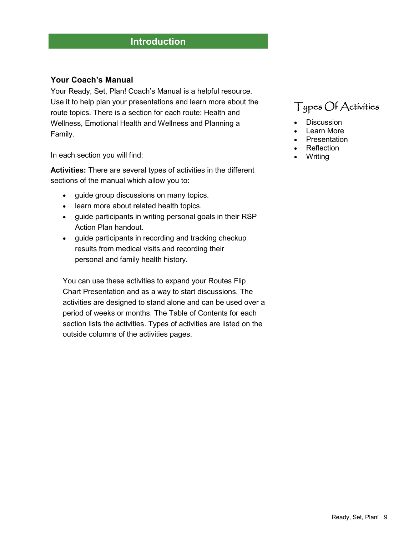### **Your Coach's Manual**

Your Ready, Set, Plan! Coach's Manual is a helpful resource. Use it to help plan your presentations and learn more about the route topics. There is a section for each route: Health and Wellness, Emotional Health and Wellness and Planning a Family.

In each section you will find:

**Activities:** There are several types of activities in the different sections of the manual which allow you to:

- guide group discussions on many topics.
- learn more about related health topics.
- guide participants in writing personal goals in their RSP Action Plan handout.
- guide participants in recording and tracking checkup results from medical visits and recording their personal and family health history.

You can use these activities to expand your Routes Flip Chart Presentation and as a way to start discussions. The activities are designed to stand alone and can be used over a period of weeks or months. The Table of Contents for each section lists the activities. Types of activities are listed on the outside columns of the activities pages.

## Types Of Activities

- **Discussion**
- Learn More
- Presentation
- **Reflection**
- **Writing**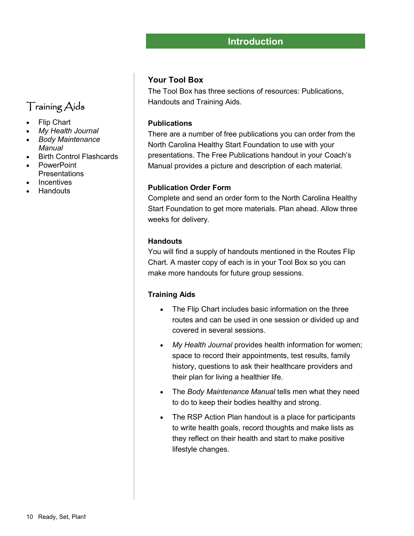### **Your Tool Box**

The Tool Box has three sections of resources: Publications, Handouts and Training Aids.

#### **Publications**

There are a number of free publications you can order from the North Carolina Healthy Start Foundation to use with your presentations. The Free Publications handout in your Coach's Manual provides a picture and description of each material.

#### **Publication Order Form**

Complete and send an order form to the North Carolina Healthy Start Foundation to get more materials. Plan ahead. Allow three weeks for delivery.

#### **Handouts**

You will find a supply of handouts mentioned in the Routes Flip Chart. A master copy of each is in your Tool Box so you can make more handouts for future group sessions.

#### **Training Aids**

- The Flip Chart includes basic information on the three routes and can be used in one session or divided up and covered in several sessions.
- *My Health Journal* provides health information for women; space to record their appointments, test results, family history, questions to ask their healthcare providers and their plan for living a healthier life.
- The *Body Maintenance Manual* tells men what they need to do to keep their bodies healthy and strong.
- The RSP Action Plan handout is a place for participants to write health goals, record thoughts and make lists as they reflect on their health and start to make positive lifestyle changes.

### Training Aids

- Flip Chart
- *My Health Journal*
- *Body Maintenance Manual*
- Birth Control Flashcards
- PowerPoint **Presentations**
- Incentives
- **Handouts**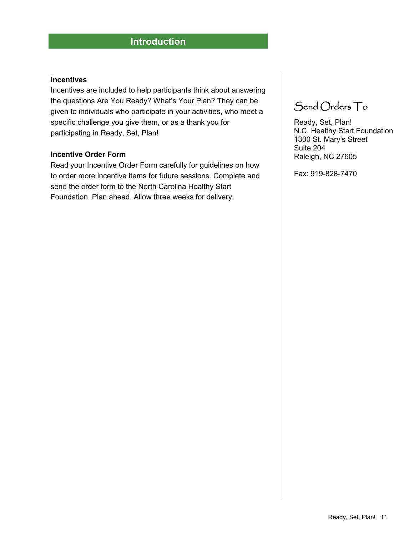#### **Incentives**

Incentives are included to help participants think about answering the questions Are You Ready? What's Your Plan? They can be given to individuals who participate in your activities, who meet a specific challenge you give them, or as a thank you for participating in Ready, Set, Plan!

#### **Incentive Order Form**

Read your Incentive Order Form carefully for guidelines on how to order more incentive items for future sessions. Complete and send the order form to the North Carolina Healthy Start Foundation. Plan ahead. Allow three weeks for delivery.

## Send Orders To

Ready, Set, Plan! N.C. Healthy Start Foundation 1300 St. Mary's Street Suite 204 Raleigh, NC 27605

Fax: 919-828-7470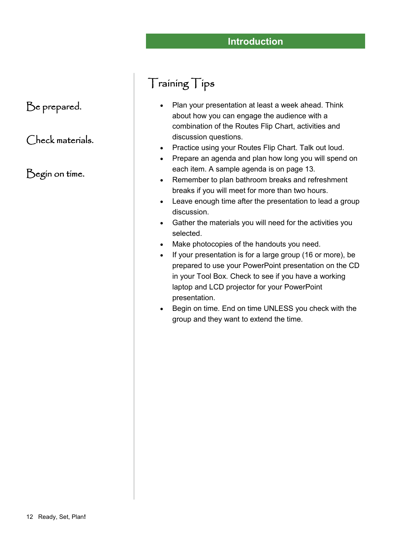### Be prepared.

### Check materials.

### Begin on time.

## Training Tips

- Plan your presentation at least a week ahead. Think about how you can engage the audience with a combination of the Routes Flip Chart, activities and discussion questions.
- Practice using your Routes Flip Chart. Talk out loud.
- Prepare an agenda and plan how long you will spend on each item. A sample agenda is on page 13.
- Remember to plan bathroom breaks and refreshment breaks if you will meet for more than two hours.
- Leave enough time after the presentation to lead a group discussion.
- Gather the materials you will need for the activities you selected.
- Make photocopies of the handouts you need.
- If your presentation is for a large group (16 or more), be prepared to use your PowerPoint presentation on the CD in your Tool Box. Check to see if you have a working laptop and LCD projector for your PowerPoint presentation.
- Begin on time. End on time UNLESS you check with the group and they want to extend the time.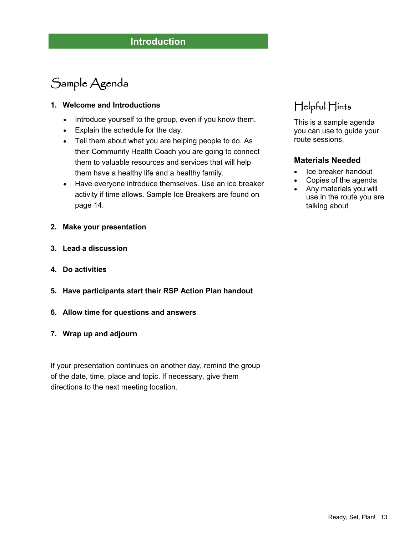# Sample Agenda

### **1. Welcome and Introductions**

- Introduce yourself to the group, even if you know them.
- Explain the schedule for the day.
- Tell them about what you are helping people to do. As their Community Health Coach you are going to connect them to valuable resources and services that will help them have a healthy life and a healthy family.
- Have everyone introduce themselves. Use an ice breaker activity if time allows. Sample Ice Breakers are found on page 14.
- **2. Make your presentation**
- **3. Lead a discussion**
- **4. Do activities**
- **5. Have participants start their RSP Action Plan handout**
- **6. Allow time for questions and answers**
- **7. Wrap up and adjourn**

If your presentation continues on another day, remind the group of the date, time, place and topic. If necessary, give them directions to the next meeting location.

## Helpful Hints

This is a sample agenda you can use to guide your route sessions.

### **Materials Needed**

- Ice breaker handout
- Copies of the agenda
- Any materials you will use in the route you are talking about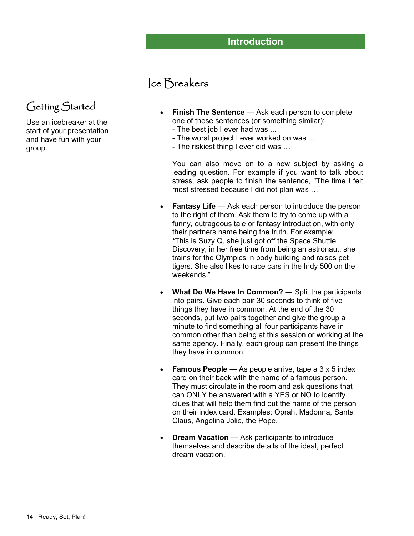## Ice Breakers

- **Finish The Sentence** ― Ask each person to complete one of these sentences (or something similar):
	- The best job I ever had was ...
	- The worst project I ever worked on was ...
	- The riskiest thing I ever did was …

You can also move on to a new subject by asking a leading question. For example if you want to talk about stress, ask people to finish the sentence, "The time I felt most stressed because I did not plan was …"

- **Fantasy Life** Ask each person to introduce the person to the right of them. Ask them to try to come up with a funny, outrageous tale or fantasy introduction, with only their partners name being the truth. For example: *"*This is Suzy Q, she just got off the Space Shuttle Discovery, in her free time from being an astronaut, she trains for the Olympics in body building and raises pet tigers. She also likes to race cars in the Indy 500 on the weekends."
- **What Do We Have In Common?** ― Split the participants into pairs. Give each pair 30 seconds to think of five things they have in common. At the end of the 30 seconds, put two pairs together and give the group a minute to find something all four participants have in common other than being at this session or working at the same agency. Finally, each group can present the things they have in common.
- **Famous People** As people arrive, tape a 3 x 5 index card on their back with the name of a famous person. They must circulate in the room and ask questions that can ONLY be answered with a YES or NO to identify clues that will help them find out the name of the person on their index card. Examples: Oprah, Madonna, Santa Claus, Angelina Jolie, the Pope.
- **Dream Vacation** Ask participants to introduce themselves and describe details of the ideal, perfect dream vacation.

Getting Started

Use an icebreaker at the start of your presentation and have fun with your group.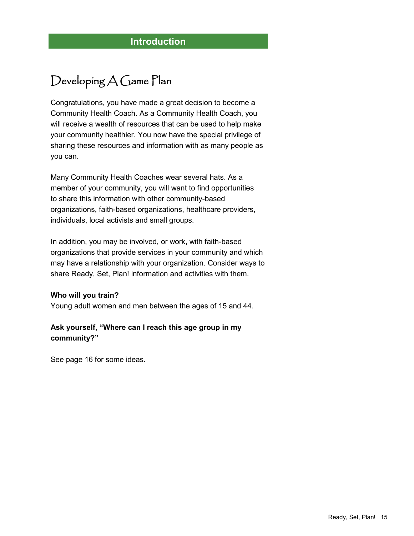# Developing A Game Plan

Congratulations, you have made a great decision to become a Community Health Coach. As a Community Health Coach, you will receive a wealth of resources that can be used to help make your community healthier. You now have the special privilege of sharing these resources and information with as many people as you can.

Many Community Health Coaches wear several hats. As a member of your community, you will want to find opportunities to share this information with other community-based organizations, faith-based organizations, healthcare providers, individuals, local activists and small groups.

In addition, you may be involved, or work, with faith-based organizations that provide services in your community and which may have a relationship with your organization. Consider ways to share Ready, Set, Plan! information and activities with them.

#### **Who will you train?**

Young adult women and men between the ages of 15 and 44.

### **Ask yourself, "Where can I reach this age group in my community?"**

See page 16 for some ideas.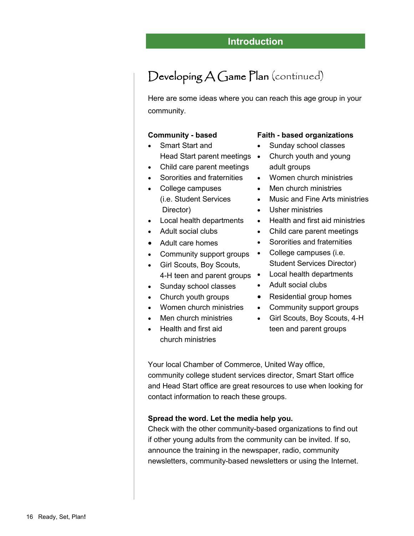# Developing A Game Plan (continued)

Here are some ideas where you can reach this age group in your community.

#### **Community - based**

- Smart Start and Head Start parent meetings •
- Child care parent meetings
- Sororities and fraternities
- College campuses (i.e. Student Services Director)
- Local health departments
- Adult social clubs
- Adult care homes
- Community support groups
- Girl Scouts, Boy Scouts, 4-H teen and parent groups •
- Sunday school classes
- Church youth groups
- Women church ministries
- Men church ministries
- Health and first aid church ministries

#### **Faith - based organizations**

- Sunday school classes
- Church youth and young adult groups
- Women church ministries
- Men church ministries
- Music and Fine Arts ministries
- Usher ministries
- Health and first aid ministries
- Child care parent meetings
- Sororities and fraternities
- College campuses (i.e. Student Services Director)
- Local health departments
- Adult social clubs
- Residential group homes
- Community support groups
- Girl Scouts, Boy Scouts, 4-H teen and parent groups

Your local Chamber of Commerce, United Way office, community college student services director, Smart Start office and Head Start office are great resources to use when looking for contact information to reach these groups.

#### **Spread the word. Let the media help you.**

Check with the other community-based organizations to find out if other young adults from the community can be invited. If so, announce the training in the newspaper, radio, community newsletters, community-based newsletters or using the Internet.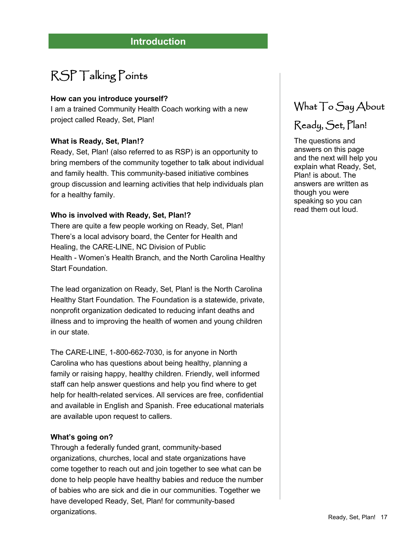# RSP Talking Points

#### **How can you introduce yourself?**

I am a trained Community Health Coach working with a new project called Ready, Set, Plan!

### **What is Ready, Set, Plan!?**

Ready, Set, Plan! (also referred to as RSP) is an opportunity to bring members of the community together to talk about individual and family health. This community-based initiative combines group discussion and learning activities that help individuals plan for a healthy family.

#### **Who is involved with Ready, Set, Plan!?**

There are quite a few people working on Ready, Set, Plan! There's a local advisory board, the Center for Health and Healing, the CARE-LINE, NC Division of Public Health - Women's Health Branch, and the North Carolina Healthy Start Foundation.

The lead organization on Ready, Set, Plan! is the North Carolina Healthy Start Foundation. The Foundation is a statewide, private, nonprofit organization dedicated to reducing infant deaths and illness and to improving the health of women and young children in our state.

The CARE-LINE, 1-800-662-7030, is for anyone in North Carolina who has questions about being healthy, planning a family or raising happy, healthy children. Friendly, well informed staff can help answer questions and help you find where to get help for health-related services. All services are free, confidential and available in English and Spanish. Free educational materials are available upon request to callers.

### **What's going on?**

Through a federally funded grant, community-based organizations, churches, local and state organizations have come together to reach out and join together to see what can be done to help people have healthy babies and reduce the number of babies who are sick and die in our communities. Together we have developed Ready, Set, Plan! for community-based organizations.

## What To Say About

## Ready, Set, Plan!

The questions and answers on this page and the next will help you explain what Ready, Set, Plan! is about. The answers are written as though you were speaking so you can read them out loud.